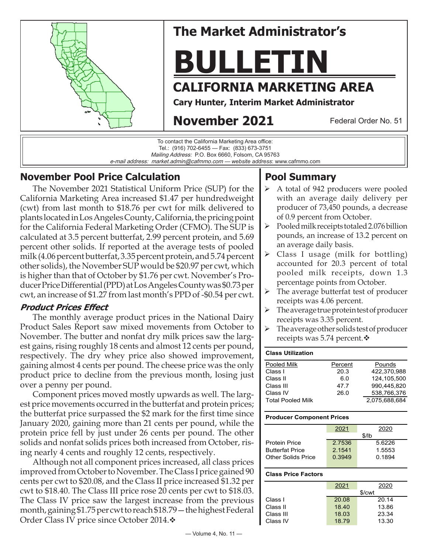

# **The Market Administrator's**

# **BULLETIN**

# **CALIFORNIA MARKETING AREA**

**Cary Hunter, Interim Market Administrator**

# **November 2021**

Federal Order No. 51



## **November Pool Price Calculation**

The November 2021 Statistical Uniform Price (SUP) for the California Marketing Area increased \$1.47 per hundredweight (cwt) from last month to \$18.76 per cwt for milk delivered to plants located in Los Angeles County, California, the pricing point for the California Federal Marketing Order (CFMO). The SUP is calculated at 3.5 percent butterfat, 2.99 percent protein, and 5.69 percent other solids. If reported at the average tests of pooled milk (4.06 percent butterfat, 3.35 percent protein, and 5.74 percent other solids), the November SUP would be \$20.97 per cwt, which is higher than that of October by \$1.76 per cwt. November's Producer Price Differential (PPD) at Los Angeles County was \$0.73 per cwt, an increase of \$1.27 from last month's PPD of -\$0.54 per cwt.

## **Product Prices Effect**

The monthly average product prices in the National Dairy Product Sales Report saw mixed movements from October to November. The butter and nonfat dry milk prices saw the largest gains, rising roughly 18 cents and almost 12 cents per pound, respectively. The dry whey price also showed improvement, gaining almost 4 cents per pound. The cheese price was the only product price to decline from the previous month, losing just over a penny per pound.

Component prices moved mostly upwards as well. The largest price movements occurred in the butterfat and protein prices; the butterfat price surpassed the \$2 mark for the first time since January 2020, gaining more than 21 cents per pound, while the protein price fell by just under 26 cents per pound. The other solids and nonfat solids prices both increased from October, rising nearly 4 cents and roughly 12 cents, respectively.

Although not all component prices increased, all class prices improved from October to November. The Class I price gained 90 cents per cwt to \$20.08, and the Class II price increased \$1.32 per cwt to \$18.40. The Class III price rose 20 cents per cwt to \$18.03. The Class IV price saw the largest increase from the previous month, gaining \$1.75 per cwt to reach \$18.79—the highest Federal Order Class IV price since October 2014. ♦

## **Pool Summary**

- $\triangleright$  A total of 942 producers were pooled with an average daily delivery per producer of 73,450 pounds, a decrease of 0.9 percent from October.
- $\triangleright$  Pooled milk receipts totaled 2.076 billion pounds, an increase of 13.2 percent on an average daily basis.
- $\triangleright$  Class I usage (milk for bottling) accounted for 20.3 percent of total pooled milk receipts, down 1.3 percentage points from October.
- $\triangleright$  The average butterfat test of producer receipts was 4.06 percent.
- $\triangleright$  The average true protein test of producer receipts was 3.35 percent.
- $\triangleright$  The average other solids test of producer receipts was 5.74 percent. $\mathbf{\hat{v}}$

#### **Class Utilization** Pooled Milk **Percent** Pounds Class I 20.3 422,370,988 Class II 6.0 124,105,500 Class III 47.7 990,445,820 Class IV 26.0 538,766,376 Total Pooled Milk 2,075,688,684

#### **Producer Component Prices**

|                        | 2021   | 2020   |  |  |
|------------------------|--------|--------|--|--|
|                        | \$/lb  |        |  |  |
| <b>Protein Price</b>   | 2.7536 | 5.6226 |  |  |
| <b>Butterfat Price</b> | 2.1541 | 1.5553 |  |  |
| Other Solids Price     | 0.3949 | 0.1894 |  |  |
|                        |        |        |  |  |

#### **Class Price Factors**

| 2021  | 2020   |
|-------|--------|
|       | \$/cwt |
| 20.08 | 20.14  |
| 18.40 | 13.86  |
| 18.03 | 23.34  |
| 18.79 | 13.30  |
|       |        |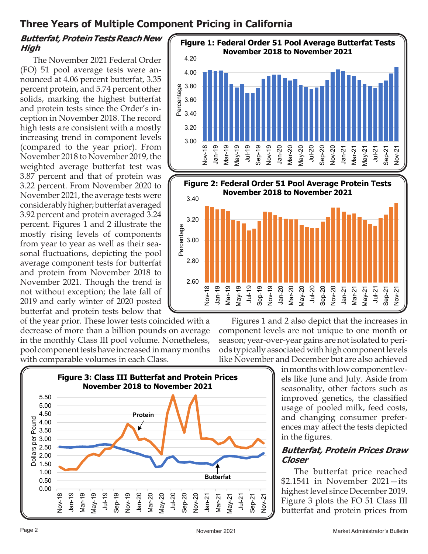## **Three Years of Multiple Component Pricing in California**

## **Butterfat, Protein Tests Reach New High**

The November 2021 Federal Order (FO) 51 pool average tests were announced at 4.06 percent butterfat, 3.35 percent protein, and 5.74 percent other solids, marking the highest butterfat and protein tests since the Order's inception in November 2018. The record high tests are consistent with a mostly increasing trend in component levels (compared to the year prior). From November 2018 to November 2019, the weighted average butterfat test was 3.87 percent and that of protein was 3.22 percent. From November 2020 to November 2021, the average tests were considerably higher; butterfat averaged 3.92 percent and protein averaged 3.24 percent. Figures 1 and 2 illustrate the mostly rising levels of components from year to year as well as their seasonal fluctuations, depicting the pool average component tests for butterfat and protein from November 2018 to November 2021. Though the trend is not without exception; the late fall of 2019 and early winter of 2020 posted butterfat and protein tests below that

of the year prior. These lower tests coincided with a decrease of more than a billion pounds on average in the monthly Class III pool volume. Nonetheless, pool component tests have increased in many months with comparable volumes in each Class.





Figures 1 and 2 also depict that the increases in component levels are not unique to one month or season; year-over-year gains are not isolated to periods typically associated with high component levels like November and December but are also achieved

in months with low component levels like June and July. Aside from seasonality, other factors such as improved genetics, the classified usage of pooled milk, feed costs, and changing consumer preferences may affect the tests depicted in the figures.

#### **Butterfat, Protein Prices Draw Closer**

The butterfat price reached \$2.1541 in November 2021—its highest level since December 2019. Figure 3 plots the FO 51 Class III butterfat and protein prices from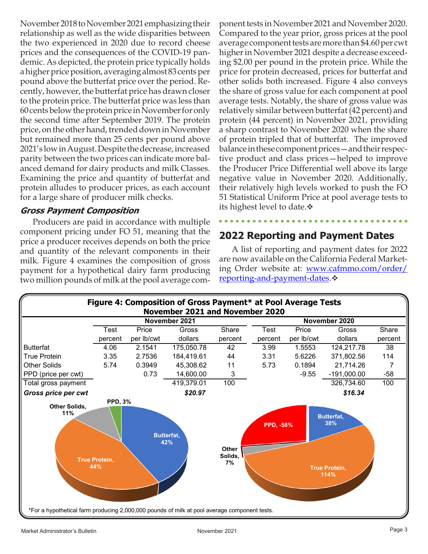November 2018 to November 2021 emphasizing their relationship as well as the wide disparities between the two experienced in 2020 due to record cheese prices and the consequences of the COVID-19 pandemic. As depicted, the protein price typically holds a higher price position, averaging almost 83 cents per pound above the butterfat price over the period. Recently, however, the butterfat price has drawn closer to the protein price. The butterfat price was less than 60 cents below the protein price in November for only the second time after September 2019. The protein price, on the other hand, trended down in November but remained more than 25 cents per pound above 2021's low in August. Despite the decrease, increased parity between the two prices can indicate more balanced demand for dairy products and milk Classes. Examining the price and quantity of butterfat and protein alludes to producer prices, as each account for a large share of producer milk checks.

#### **Gross Payment Composition**

Producers are paid in accordance with multiple component pricing under FO 51, meaning that the price a producer receives depends on both the price and quantity of the relevant components in their milk. Figure 4 examines the composition of gross payment for a hypothetical dairy farm producing two million pounds of milk at the pool average com-

ponent tests in November 2021 and November 2020. Compared to the year prior, gross prices at the pool average component tests are more than \$4.60 per cwt higher in November 2021 despite a decrease exceeding \$2.00 per pound in the protein price. While the price for protein decreased, prices for butterfat and other solids both increased. Figure 4 also conveys the share of gross value for each component at pool average tests. Notably, the share of gross value was relatively similar between butterfat (42 percent) and protein (44 percent) in November 2021, providing a sharp contrast to November 2020 when the share of protein tripled that of butterfat. The improved balancein thesecomponent prices—and their respective product and class prices—helped to improve the Producer Price Differential well above its large negative value in November 2020. Additionally, their relatively high levels worked to push the FO 51 Statistical Uniform Price at pool average tests to its highest level to date. **❖** 

## **2022 Reporting and Payment Dates**

A list of reporting and payment dates for 2022 are now available on the California Federal Market[ing Order website at: www.cafmmo.com/order/](https://cafmmo.com/order/reporting-and-payment-dates/) reporting-and-payment-dates. $\cdot$